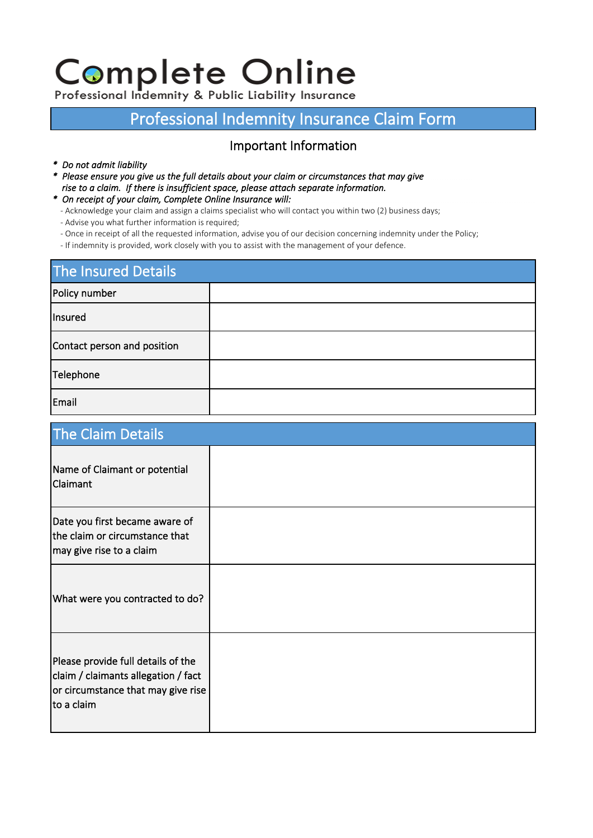# Complete Online

# Professional Indemnity Insurance Claim Form

### Important Information

#### *\* Do not admit liability*

- *\* Please ensure you give us the full details about your claim or circumstances that may give rise to a claim. If there is insufficient space, please attach separate information.*
- *\* On receipt of your claim, Complete Online Insurance will:* 
	- Acknowledge your claim and assign a claims specialist who will contact you within two (2) business days;
	- Advise you what further information is required;
	- Once in receipt of all the requested information, advise you of our decision concerning indemnity under the Policy;
	- If indemnity is provided, work closely with you to assist with the management of your defence.

| The Insured Details         |  |
|-----------------------------|--|
| Policy number               |  |
| Insured                     |  |
| Contact person and position |  |
| Telephone                   |  |
| Email                       |  |

| <b>The Claim Details</b>                                                                                                      |  |
|-------------------------------------------------------------------------------------------------------------------------------|--|
| Name of Claimant or potential<br>Claimant                                                                                     |  |
| Date you first became aware of<br>the claim or circumstance that<br>may give rise to a claim                                  |  |
| What were you contracted to do?                                                                                               |  |
| Please provide full details of the<br>claim / claimants allegation / fact<br>or circumstance that may give rise<br>to a claim |  |